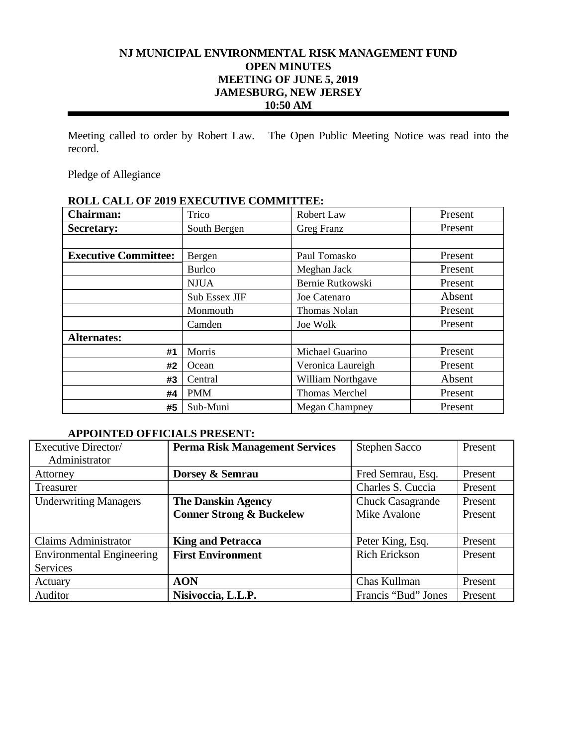# **NJ MUNICIPAL ENVIRONMENTAL RISK MANAGEMENT FUND OPEN MINUTES MEETING OF JUNE 5, 2019 JAMESBURG, NEW JERSEY 10:50 AM**

Meeting called to order by Robert Law. The Open Public Meeting Notice was read into the record.

Pledge of Allegiance

# **ROLL CALL OF 2019 EXECUTIVE COMMITTEE:**

| <b>Chairman:</b>            | Trico         | Robert Law            | Present |
|-----------------------------|---------------|-----------------------|---------|
| Secretary:                  | South Bergen  | Greg Franz            | Present |
|                             |               |                       |         |
| <b>Executive Committee:</b> | Bergen        | Paul Tomasko          | Present |
|                             | <b>Burlco</b> | Meghan Jack           | Present |
|                             | <b>NJUA</b>   | Bernie Rutkowski      | Present |
|                             | Sub Essex JIF | Joe Catenaro          | Absent  |
|                             | Monmouth      | <b>Thomas Nolan</b>   | Present |
|                             | Camden        | Joe Wolk              | Present |
| <b>Alternates:</b>          |               |                       |         |
| #1                          | Morris        | Michael Guarino       | Present |
| #2                          | Ocean         | Veronica Laureigh     | Present |
| #3                          | Central       | William Northgave     | Absent  |
| #4                          | <b>PMM</b>    | <b>Thomas Merchel</b> | Present |
| #5                          | Sub-Muni      | <b>Megan Champney</b> | Present |

#### **APPOINTED OFFICIALS PRESENT:**

| Executive Director/              | <b>Perma Risk Management Services</b> | <b>Stephen Sacco</b>    | Present |
|----------------------------------|---------------------------------------|-------------------------|---------|
| Administrator                    |                                       |                         |         |
| Attorney                         | Dorsey & Semrau                       | Fred Semrau, Esq.       | Present |
| Treasurer                        |                                       | Charles S. Cuccia       | Present |
| <b>Underwriting Managers</b>     | <b>The Danskin Agency</b>             | <b>Chuck Casagrande</b> | Present |
|                                  | <b>Conner Strong &amp; Buckelew</b>   | Mike Avalone            | Present |
|                                  |                                       |                         |         |
| <b>Claims Administrator</b>      | <b>King and Petracca</b>              | Peter King, Esq.        | Present |
| <b>Environmental Engineering</b> | <b>First Environment</b>              | <b>Rich Erickson</b>    | Present |
| <b>Services</b>                  |                                       |                         |         |
| Actuary                          | <b>AON</b>                            | Chas Kullman            | Present |
| Auditor                          | Nisivoccia, L.L.P.                    | Francis "Bud" Jones     | Present |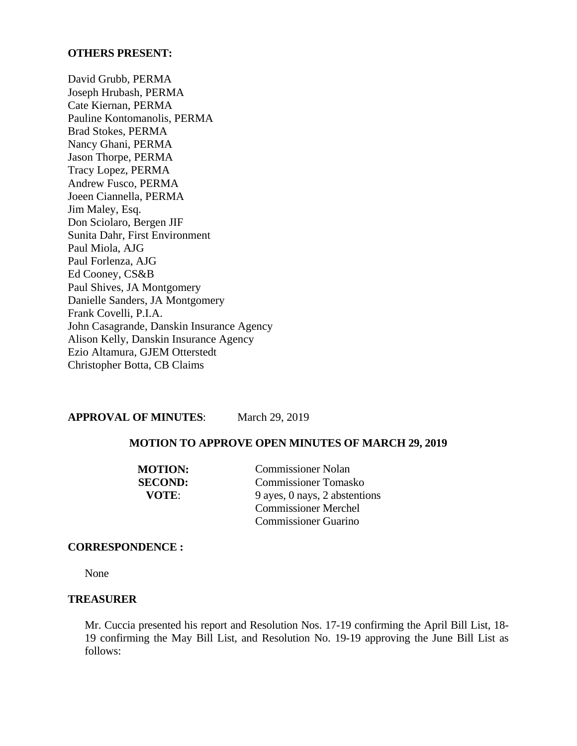#### **OTHERS PRESENT:**

David Grubb, PERMA Joseph Hrubash, PERMA Cate Kiernan, PERMA Pauline Kontomanolis, PERMA Brad Stokes, PERMA Nancy Ghani, PERMA Jason Thorpe, PERMA Tracy Lopez, PERMA Andrew Fusco, PERMA Joeen Ciannella, PERMA Jim Maley, Esq. Don Sciolaro, Bergen JIF Sunita Dahr, First Environment Paul Miola, AJG Paul Forlenza, AJG Ed Cooney, CS&B Paul Shives, JA Montgomery Danielle Sanders, JA Montgomery Frank Covelli, P.I.A. John Casagrande, Danskin Insurance Agency Alison Kelly, Danskin Insurance Agency Ezio Altamura, GJEM Otterstedt Christopher Botta, CB Claims

**APPROVAL OF MINUTES**: March 29, 2019

#### **MOTION TO APPROVE OPEN MINUTES OF MARCH 29, 2019**

**MOTION:** Commissioner Nolan **SECOND:** Commissioner Tomasko **VOTE:** 9 ayes, 0 nays, 2 abstentions Commissioner Merchel Commissioner Guarino

#### **CORRESPONDENCE :**

None

#### **TREASURER**

Mr. Cuccia presented his report and Resolution Nos. 17-19 confirming the April Bill List, 18- 19 confirming the May Bill List, and Resolution No. 19-19 approving the June Bill List as follows: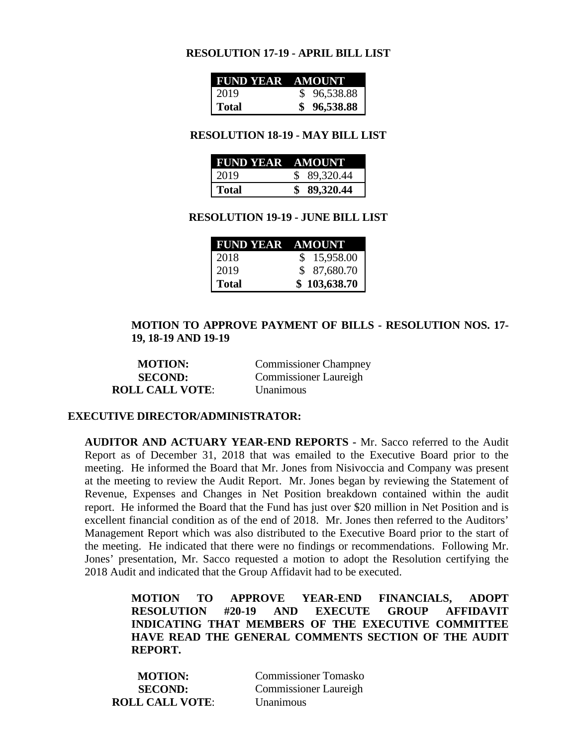#### **RESOLUTION 17-19 - APRIL BILL LIST**

| FUND YEAR AMOUNT |             |
|------------------|-------------|
| 2019             | \$96,538.88 |
| Total            | \$96,538.88 |

#### **RESOLUTION 18-19 - MAY BILL LIST**

| FUND YEAR AMOUNT |             |
|------------------|-------------|
| 2019             | \$89,320.44 |
| <b>Total</b>     | \$89,320.44 |

#### **RESOLUTION 19-19 - JUNE BILL LIST**

| FUND YEAR AMOUNT |              |
|------------------|--------------|
| 2018             | \$15,958.00  |
| 2019             | \$87,680.70  |
| <b>Total</b>     | \$103,638.70 |

#### **MOTION TO APPROVE PAYMENT OF BILLS - RESOLUTION NOS. 17- 19, 18-19 AND 19-19**

| <b>MOTION:</b>         | <b>Commissioner Champney</b> |
|------------------------|------------------------------|
| <b>SECOND:</b>         | <b>Commissioner Laureigh</b> |
| <b>ROLL CALL VOTE:</b> | Unanimous                    |

#### **EXECUTIVE DIRECTOR/ADMINISTRATOR:**

**AUDITOR AND ACTUARY YEAR-END REPORTS -** Mr. Sacco referred to the Audit Report as of December 31, 2018 that was emailed to the Executive Board prior to the meeting. He informed the Board that Mr. Jones from Nisivoccia and Company was present at the meeting to review the Audit Report. Mr. Jones began by reviewing the Statement of Revenue, Expenses and Changes in Net Position breakdown contained within the audit report. He informed the Board that the Fund has just over \$20 million in Net Position and is excellent financial condition as of the end of 2018. Mr. Jones then referred to the Auditors' Management Report which was also distributed to the Executive Board prior to the start of the meeting. He indicated that there were no findings or recommendations. Following Mr. Jones' presentation, Mr. Sacco requested a motion to adopt the Resolution certifying the 2018 Audit and indicated that the Group Affidavit had to be executed.

> **MOTION TO APPROVE YEAR-END FINANCIALS, ADOPT RESOLUTION #20-19 AND EXECUTE GROUP AFFIDAVIT INDICATING THAT MEMBERS OF THE EXECUTIVE COMMITTEE HAVE READ THE GENERAL COMMENTS SECTION OF THE AUDIT REPORT.**

| <b>MOTION:</b>         | <b>Commissioner Tomasko</b>  |
|------------------------|------------------------------|
| <b>SECOND:</b>         | <b>Commissioner Laureigh</b> |
| <b>ROLL CALL VOTE:</b> | <b>Unanimous</b>             |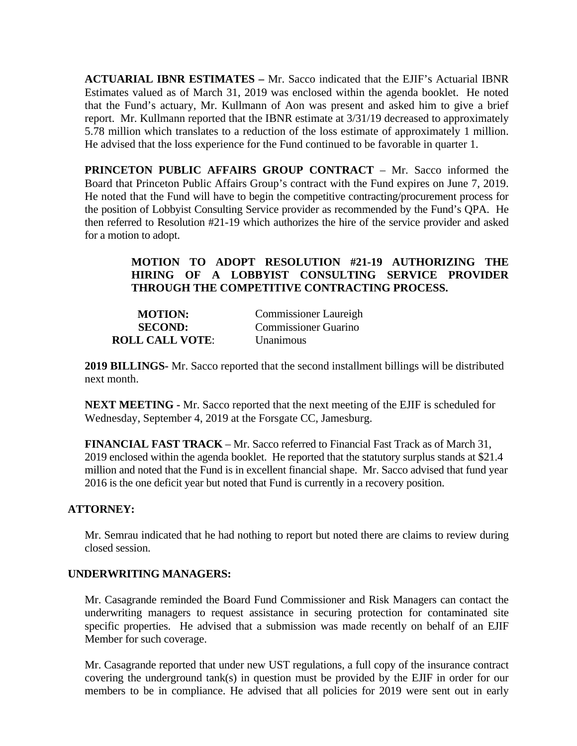**ACTUARIAL IBNR ESTIMATES –** Mr. Sacco indicated that the EJIF's Actuarial IBNR Estimates valued as of March 31, 2019 was enclosed within the agenda booklet. He noted that the Fund's actuary, Mr. Kullmann of Aon was present and asked him to give a brief report. Mr. Kullmann reported that the IBNR estimate at 3/31/19 decreased to approximately 5.78 million which translates to a reduction of the loss estimate of approximately 1 million. He advised that the loss experience for the Fund continued to be favorable in quarter 1.

**PRINCETON PUBLIC AFFAIRS GROUP CONTRACT** – Mr. Sacco informed the Board that Princeton Public Affairs Group's contract with the Fund expires on June 7, 2019. He noted that the Fund will have to begin the competitive contracting/procurement process for the position of Lobbyist Consulting Service provider as recommended by the Fund's QPA. He then referred to Resolution #21-19 which authorizes the hire of the service provider and asked for a motion to adopt.

# **MOTION TO ADOPT RESOLUTION #21-19 AUTHORIZING THE HIRING OF A LOBBYIST CONSULTING SERVICE PROVIDER THROUGH THE COMPETITIVE CONTRACTING PROCESS.**

| <b>MOTION:</b>         | <b>Commissioner Laureigh</b> |
|------------------------|------------------------------|
| <b>SECOND:</b>         | Commissioner Guarino         |
| <b>ROLL CALL VOTE:</b> | <b>Unanimous</b>             |

**2019 BILLINGS-** Mr. Sacco reported that the second installment billings will be distributed next month.

**NEXT MEETING -** Mr. Sacco reported that the next meeting of the EJIF is scheduled for Wednesday, September 4, 2019 at the Forsgate CC, Jamesburg.

**FINANCIAL FAST TRACK** – Mr. Sacco referred to Financial Fast Track as of March 31, 2019 enclosed within the agenda booklet. He reported that the statutory surplus stands at \$21.4 million and noted that the Fund is in excellent financial shape. Mr. Sacco advised that fund year 2016 is the one deficit year but noted that Fund is currently in a recovery position.

#### **ATTORNEY:**

Mr. Semrau indicated that he had nothing to report but noted there are claims to review during closed session.

#### **UNDERWRITING MANAGERS:**

Mr. Casagrande reminded the Board Fund Commissioner and Risk Managers can contact the underwriting managers to request assistance in securing protection for contaminated site specific properties. He advised that a submission was made recently on behalf of an EJIF Member for such coverage.

Mr. Casagrande reported that under new UST regulations, a full copy of the insurance contract covering the underground tank(s) in question must be provided by the EJIF in order for our members to be in compliance. He advised that all policies for 2019 were sent out in early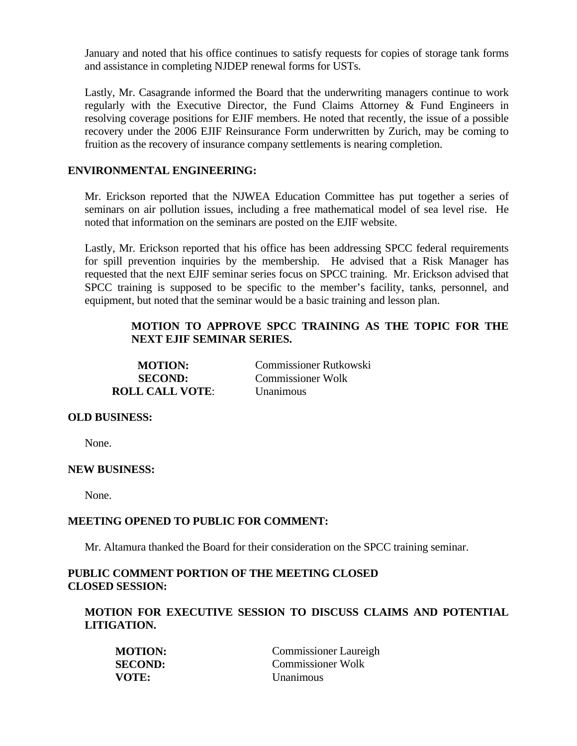January and noted that his office continues to satisfy requests for copies of storage tank forms and assistance in completing NJDEP renewal forms for USTs.

Lastly, Mr. Casagrande informed the Board that the underwriting managers continue to work regularly with the Executive Director, the Fund Claims Attorney & Fund Engineers in resolving coverage positions for EJIF members. He noted that recently, the issue of a possible recovery under the 2006 EJIF Reinsurance Form underwritten by Zurich, may be coming to fruition as the recovery of insurance company settlements is nearing completion.

## **ENVIRONMENTAL ENGINEERING:**

Mr. Erickson reported that the NJWEA Education Committee has put together a series of seminars on air pollution issues, including a free mathematical model of sea level rise. He noted that information on the seminars are posted on the EJIF website.

Lastly, Mr. Erickson reported that his office has been addressing SPCC federal requirements for spill prevention inquiries by the membership. He advised that a Risk Manager has requested that the next EJIF seminar series focus on SPCC training. Mr. Erickson advised that SPCC training is supposed to be specific to the member's facility, tanks, personnel, and equipment, but noted that the seminar would be a basic training and lesson plan.

# **MOTION TO APPROVE SPCC TRAINING AS THE TOPIC FOR THE NEXT EJIF SEMINAR SERIES.**

| <b>MOTION:</b>         | <b>Commissioner Rutkowski</b> |
|------------------------|-------------------------------|
| <b>SECOND:</b>         | <b>Commissioner Wolk</b>      |
| <b>ROLL CALL VOTE:</b> | <i>Unanimous</i>              |

#### **OLD BUSINESS:**

None.

#### **NEW BUSINESS:**

None.

#### **MEETING OPENED TO PUBLIC FOR COMMENT:**

Mr. Altamura thanked the Board for their consideration on the SPCC training seminar.

## **PUBLIC COMMENT PORTION OF THE MEETING CLOSED CLOSED SESSION:**

## **MOTION FOR EXECUTIVE SESSION TO DISCUSS CLAIMS AND POTENTIAL LITIGATION.**

| <b>MOTION:</b> | <b>Commissioner Laureigh</b> |
|----------------|------------------------------|
| <b>SECOND:</b> | Commissioner Wolk            |
| VOTE:          | Unanimous                    |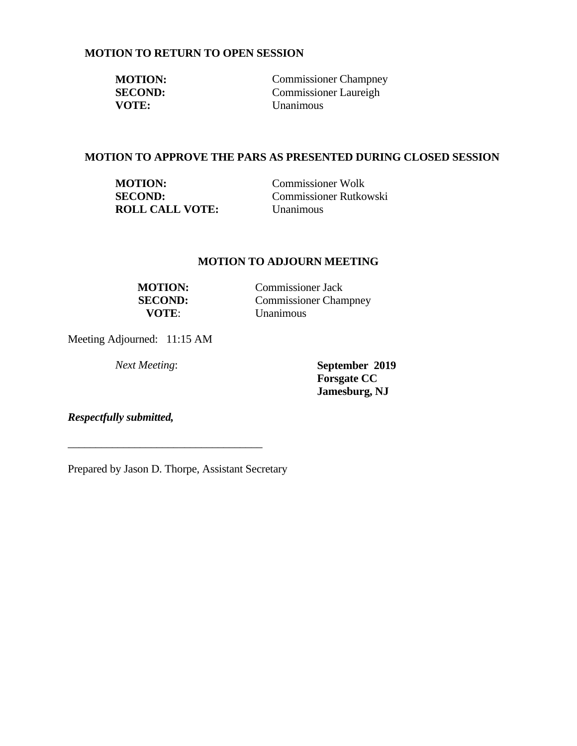## **MOTION TO RETURN TO OPEN SESSION**

| <b>MOTION:</b> | <b>Commissioner Champney</b> |
|----------------|------------------------------|
| <b>SECOND:</b> | Commissioner Laureigh        |
| <b>VOTE:</b>   | <b>Unanimous</b>             |

#### **MOTION TO APPROVE THE PARS AS PRESENTED DURING CLOSED SESSION**

| <b>MOTION:</b>         | <b>Commissioner Wolk</b>      |
|------------------------|-------------------------------|
| <b>SECOND:</b>         | <b>Commissioner Rutkowski</b> |
| <b>ROLL CALL VOTE:</b> | Unanimous                     |

## **MOTION TO ADJOURN MEETING**

**VOTE**: Unanimous

**MOTION:** Commissioner Jack **SECOND:** Commissioner Champney

Meeting Adjourned: 11:15 AM

*Next Meeting*: **September 2019 Forsgate CC Jamesburg, NJ** 

*Respectfully submitted,*

Prepared by Jason D. Thorpe, Assistant Secretary

\_\_\_\_\_\_\_\_\_\_\_\_\_\_\_\_\_\_\_\_\_\_\_\_\_\_\_\_\_\_\_\_\_\_\_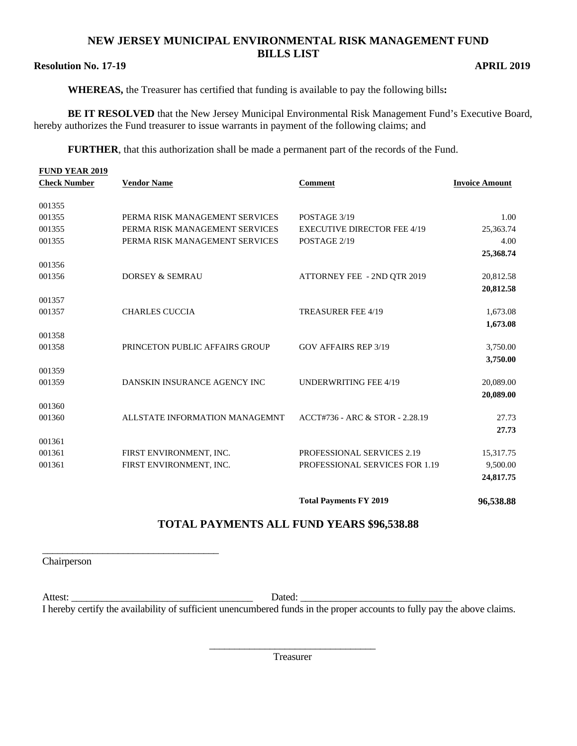## **NEW JERSEY MUNICIPAL ENVIRONMENTAL RISK MANAGEMENT FUND BILLS LIST**

#### **Resolution No. 17-19 APRIL 2019**

**WHEREAS,** the Treasurer has certified that funding is available to pay the following bills**:** 

**BE IT RESOLVED** that the New Jersey Municipal Environmental Risk Management Fund's Executive Board, hereby authorizes the Fund treasurer to issue warrants in payment of the following claims; and

**FURTHER**, that this authorization shall be made a permanent part of the records of the Fund.

| <b>FUND YEAR 2019</b><br><b>Check Number</b> | <b>Vendor Name</b>             | <b>Comment</b>                     | <b>Invoice Amount</b> |
|----------------------------------------------|--------------------------------|------------------------------------|-----------------------|
| 001355                                       |                                |                                    |                       |
| 001355                                       | PERMA RISK MANAGEMENT SERVICES | POSTAGE 3/19                       | 1.00                  |
| 001355                                       | PERMA RISK MANAGEMENT SERVICES | <b>EXECUTIVE DIRECTOR FEE 4/19</b> | 25,363.74             |
| 001355                                       | PERMA RISK MANAGEMENT SERVICES | POSTAGE 2/19                       | 4.00                  |
| 001356                                       |                                |                                    | 25,368.74             |
| 001356                                       | <b>DORSEY &amp; SEMRAU</b>     | ATTORNEY FEE - 2ND OTR 2019        | 20,812.58             |
|                                              |                                |                                    | 20,812.58             |
| 001357                                       |                                |                                    |                       |
| 001357                                       | <b>CHARLES CUCCIA</b>          | <b>TREASURER FEE 4/19</b>          | 1,673.08              |
|                                              |                                |                                    | 1,673.08              |
| 001358                                       |                                |                                    |                       |
| 001358                                       | PRINCETON PUBLIC AFFAIRS GROUP | <b>GOV AFFAIRS REP 3/19</b>        | 3,750.00              |
|                                              |                                |                                    | 3,750.00              |
| 001359<br>001359                             | DANSKIN INSURANCE AGENCY INC   | <b>UNDERWRITING FEE 4/19</b>       | 20,089.00             |
|                                              |                                |                                    | 20,089.00             |
| 001360                                       |                                |                                    |                       |
| 001360                                       | ALLSTATE INFORMATION MANAGEMNT | ACCT#736 - ARC & STOR - 2.28.19    | 27.73                 |
|                                              |                                |                                    | 27.73                 |
| 001361                                       |                                |                                    |                       |
| 001361                                       | FIRST ENVIRONMENT, INC.        | PROFESSIONAL SERVICES 2.19         | 15,317.75             |
| 001361                                       | FIRST ENVIRONMENT, INC.        | PROFESSIONAL SERVICES FOR 1.19     | 9,500.00              |
|                                              |                                |                                    | 24,817.75             |
|                                              |                                | <b>Total Payments FY 2019</b>      | 96,538.88             |

# **TOTAL PAYMENTS ALL FUND YEARS \$96,538.88**

Chairperson

\_\_\_\_\_\_\_\_\_\_\_\_\_\_\_\_\_\_\_\_\_\_\_\_\_\_\_\_\_\_\_\_\_\_\_

Attest: \_\_\_\_\_\_\_\_\_\_\_\_\_\_\_\_\_\_\_\_\_\_\_\_\_\_\_\_\_\_\_\_\_\_\_\_ Dated: \_\_\_\_\_\_\_\_\_\_\_\_\_\_\_\_\_\_\_\_\_\_\_\_\_\_\_\_\_\_ I hereby certify the availability of sufficient unencumbered funds in the proper accounts to fully pay the above claims.

> \_\_\_\_\_\_\_\_\_\_\_\_\_\_\_\_\_\_\_\_\_\_\_\_\_\_\_\_\_\_\_\_\_ Treasurer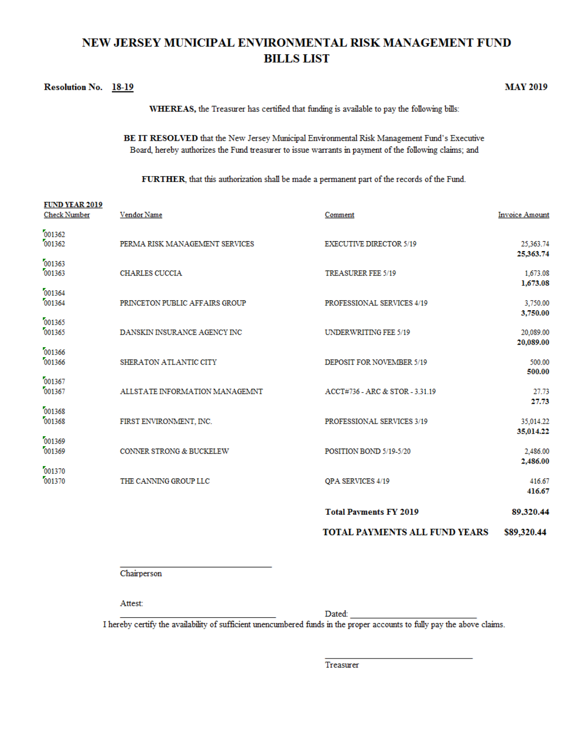# NEW JERSEY MUNICIPAL ENVIRONMENTAL RISK MANAGEMENT FUND **BILLS LIST**

#### Resolution No. 18-19

**MAY 2019** 

WHEREAS, the Treasurer has certified that funding is available to pay the following bills:

BE IT RESOLVED that the New Jersey Municipal Environmental Risk Management Fund's Executive Board, hereby authorizes the Fund treasurer to issue warrants in payment of the following claims; and

FURTHER, that this authorization shall be made a permanent part of the records of the Fund.

| <b>FUND YEAR 2019</b><br><b>Check Number</b> | Vendor Name                         | Comment                              | <b>Invoice Amount</b> |
|----------------------------------------------|-------------------------------------|--------------------------------------|-----------------------|
| 001362<br>001362                             | PERMA RISK MANAGEMENT SERVICES      | <b>EXECUTIVE DIRECTOR 5/19</b>       | 25,363.74             |
| 001363<br>001363                             | <b>CHARLES CUCCIA</b>               | <b>TREASURER FEE 5/19</b>            | 25,363.74<br>1,673.08 |
| 001364<br>001364                             | PRINCETON PUBLIC AFFAIRS GROUP      | PROFESSIONAL SERVICES 4/19           | 1,673.08<br>3,750.00  |
| 001365<br>001365                             | DANSKIN INSURANCE AGENCY INC        | UNDERWRITING FEE 5/19                | 3,750.00<br>20,089.00 |
| 001366<br>001366                             | SHERATON ATLANTIC CITY              | DEPOSIT FOR NOVEMBER 5/19            | 20,089.00<br>500.00   |
| 001367<br>001367                             | ALLSTATE INFORMATION MANAGEMNT      | ACCT#736 - ARC & STOR - 3.31.19      | 500.00<br>27.73       |
| 001368<br>001368                             | FIRST ENVIRONMENT, INC.             | PROFESSIONAL SERVICES 3/19           | 27.73<br>35,014.22    |
| 001369<br>001369                             | <b>CONNER STRONG &amp; BUCKELEW</b> | POSITION BOND 5/19-5/20              | 35,014.22<br>2,486.00 |
| 001370<br>001370                             | THE CANNING GROUP LLC               | QPA SERVICES 4/19                    | 2,486.00<br>416.67    |
|                                              |                                     | <b>Total Payments FY 2019</b>        | 416.67<br>89.320.44   |
|                                              |                                     | <b>TOTAL PAYMENTS ALL FUND YEARS</b> | \$89,320.44           |

Chairperson

Attest:

Dated:

I hereby certify the availability of sufficient unencumbered funds in the proper accounts to fully pay the above claims.

Treasurer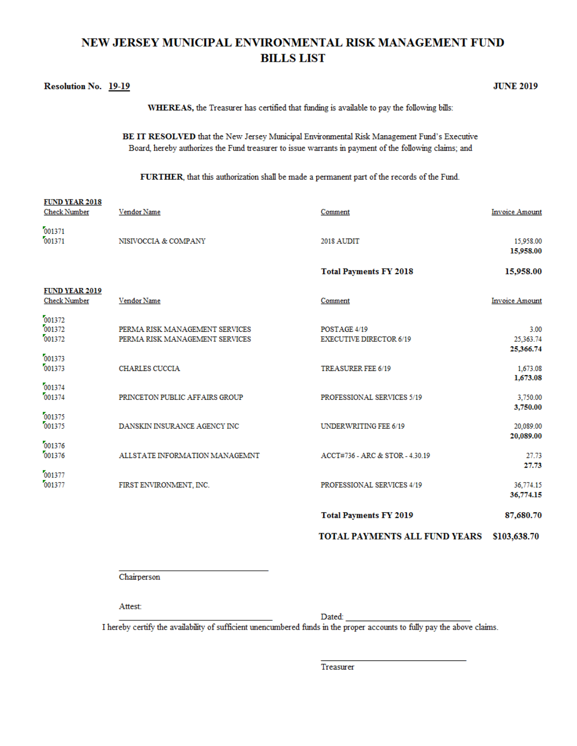# NEW JERSEY MUNICIPAL ENVIRONMENTAL RISK MANAGEMENT FUND **BILLS LIST**

#### Resolution No. 19-19

**JUNE 2019** 

WHEREAS, the Treasurer has certified that funding is available to pay the following bills:

BE IT RESOLVED that the New Jersey Municipal Environmental Risk Management Fund's Executive Board, hereby authorizes the Fund treasurer to issue warrants in payment of the following claims; and

FURTHER, that this authorization shall be made a permanent part of the records of the Fund.

| <b>FUND YEAR 2018</b><br><b>Check Number</b> | Vendor Name                                                      | Comment                                        | <b>Invoice Amount</b>           |
|----------------------------------------------|------------------------------------------------------------------|------------------------------------------------|---------------------------------|
| 001371<br>001371                             | NISIVOCCIA & COMPANY                                             | 2018 AUDIT                                     | 15,958.00<br>15,958.00          |
|                                              |                                                                  | <b>Total Payments FY 2018</b>                  | 15,958.00                       |
| <b>FUND YEAR 2019</b><br><b>Check Number</b> | Vendor Name                                                      | Comment                                        | <b>Invoice Amount</b>           |
| 001372<br>001372<br>001372                   | PERMA RISK MANAGEMENT SERVICES<br>PERMA RISK MANAGEMENT SERVICES | POSTAGE 4/19<br><b>EXECUTIVE DIRECTOR 6/19</b> | 3.00<br>25,363.74               |
| 001373<br>001373                             | <b>CHARLES CUCCIA</b>                                            | TREASURER FEE 6/19                             | 25,366.74<br>1,673.08           |
| 001374<br>001374                             | PRINCETON PUBLIC AFFAIRS GROUP                                   | PROFESSIONAL SERVICES 5/19                     | 1,673.08<br>3,750.00            |
| 001375<br>001375                             | DANSKIN INSURANCE AGENCY INC                                     | UNDERWRITING FEE 6/19                          | 3,750.00<br>20,089.00           |
| 001376<br>001376                             | ALLSTATE INFORMATION MANAGEMNT                                   | ACCT#736 - ARC & STOR - 4.30.19                | 20,089.00<br>27.73              |
| 001377<br>001377                             | FIRST ENVIRONMENT, INC.                                          | PROFESSIONAL SERVICES 4/19                     | 27.73<br>36,774.15<br>36,774.15 |
|                                              |                                                                  | <b>Total Payments FY 2019</b>                  | 87,680.70                       |

TOTAL PAYMENTS ALL FUND YEARS \$103,638.70

Chairperson

Attest:

Dated:

I hereby certify the availability of sufficient unencumbered funds in the proper accounts to fully pay the above claims.

Treasurer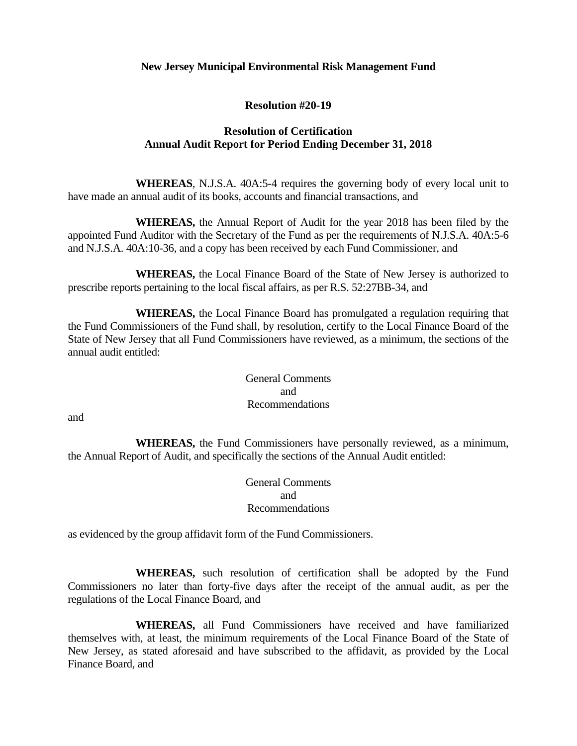#### **New Jersey Municipal Environmental Risk Management Fund**

#### **Resolution #20-19**

## **Resolution of Certification Annual Audit Report for Period Ending December 31, 2018**

 **WHEREAS**, N.J.S.A. 40A:5-4 requires the governing body of every local unit to have made an annual audit of its books, accounts and financial transactions, and

 **WHEREAS,** the Annual Report of Audit for the year 2018 has been filed by the appointed Fund Auditor with the Secretary of the Fund as per the requirements of N.J.S.A. 40A:5-6 and N.J.S.A. 40A:10-36, and a copy has been received by each Fund Commissioner, and

 **WHEREAS,** the Local Finance Board of the State of New Jersey is authorized to prescribe reports pertaining to the local fiscal affairs, as per R.S. 52:27BB-34, and

 **WHEREAS,** the Local Finance Board has promulgated a regulation requiring that the Fund Commissioners of the Fund shall, by resolution, certify to the Local Finance Board of the State of New Jersey that all Fund Commissioners have reviewed, as a minimum, the sections of the annual audit entitled:

 General Comments and Recommendations

and

 **WHEREAS,** the Fund Commissioners have personally reviewed, as a minimum, the Annual Report of Audit, and specifically the sections of the Annual Audit entitled:

 General Comments and Recommendations

as evidenced by the group affidavit form of the Fund Commissioners.

 **WHEREAS,** such resolution of certification shall be adopted by the Fund Commissioners no later than forty-five days after the receipt of the annual audit, as per the regulations of the Local Finance Board, and

 **WHEREAS,** all Fund Commissioners have received and have familiarized themselves with, at least, the minimum requirements of the Local Finance Board of the State of New Jersey, as stated aforesaid and have subscribed to the affidavit, as provided by the Local Finance Board, and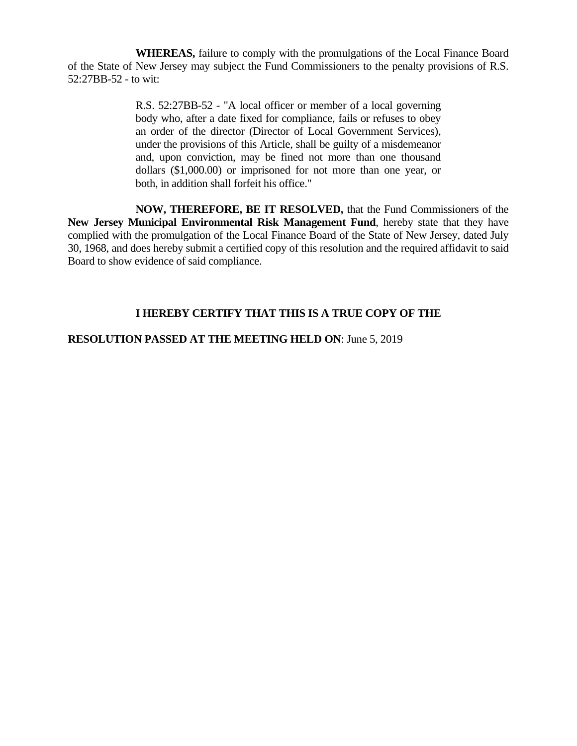**WHEREAS,** failure to comply with the promulgations of the Local Finance Board of the State of New Jersey may subject the Fund Commissioners to the penalty provisions of R.S. 52:27BB-52 - to wit:

> R.S. 52:27BB-52 - "A local officer or member of a local governing body who, after a date fixed for compliance, fails or refuses to obey an order of the director (Director of Local Government Services), under the provisions of this Article, shall be guilty of a misdemeanor and, upon conviction, may be fined not more than one thousand dollars (\$1,000.00) or imprisoned for not more than one year, or both, in addition shall forfeit his office."

 **NOW, THEREFORE, BE IT RESOLVED,** that the Fund Commissioners of the **New Jersey Municipal Environmental Risk Management Fund**, hereby state that they have complied with the promulgation of the Local Finance Board of the State of New Jersey, dated July 30, 1968, and does hereby submit a certified copy of this resolution and the required affidavit to said Board to show evidence of said compliance.

# **I HEREBY CERTIFY THAT THIS IS A TRUE COPY OF THE**

## **RESOLUTION PASSED AT THE MEETING HELD ON**: June 5, 2019